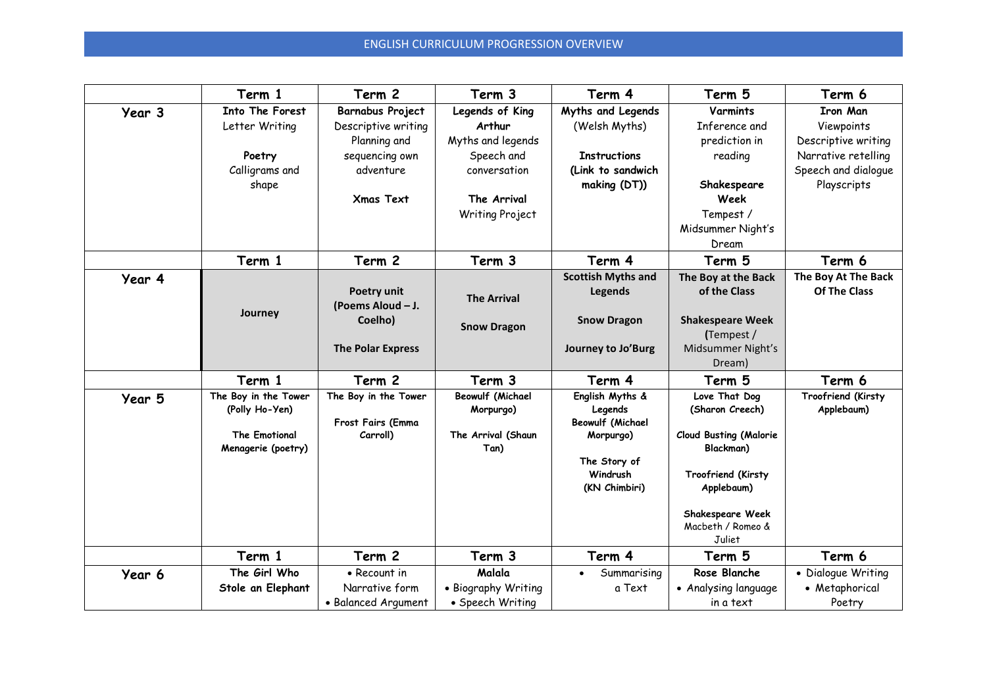## ENGLISH CURRICULUM PROGRESSION OVERVIEW

|        | Term 1                                                                               | Term 2                                                                                                     | Term 3                                                                                                         | Term 4                                                                                                          | Term 5                                                                                                                                                                | Term 6                                                                                                            |
|--------|--------------------------------------------------------------------------------------|------------------------------------------------------------------------------------------------------------|----------------------------------------------------------------------------------------------------------------|-----------------------------------------------------------------------------------------------------------------|-----------------------------------------------------------------------------------------------------------------------------------------------------------------------|-------------------------------------------------------------------------------------------------------------------|
| Year 3 | Into The Forest<br>Letter Writing<br>Poetry<br>Calligrams and<br>shape               | Barnabus Project<br>Descriptive writing<br>Planning and<br>sequencing own<br>adventure<br><b>Xmas Text</b> | Legends of King<br>Arthur<br>Myths and legends<br>Speech and<br>conversation<br>The Arrival<br>Writing Project | Myths and Legends<br>(Welsh Myths)<br><b>Instructions</b><br>(Link to sandwich<br>making (DT))                  | Varmints<br>Inference and<br>prediction in<br>reading<br>Shakespeare<br>Week<br>Tempest /<br>Midsummer Night's<br>Dream                                               | <b>Iron Man</b><br>Viewpoints<br>Descriptive writing<br>Narrative retelling<br>Speech and dialogue<br>Playscripts |
|        | Term 1                                                                               | Term 2                                                                                                     | Term 3                                                                                                         | Term 4                                                                                                          | Term 5                                                                                                                                                                | Term 6                                                                                                            |
| Year 4 | Journey                                                                              | Poetry unit<br>(Poems Aloud - J.<br>Coelho)                                                                | <b>The Arrival</b>                                                                                             | <b>Scottish Myths and</b><br><b>Legends</b><br><b>Snow Dragon</b>                                               | The Boy at the Back<br>of the Class<br><b>Shakespeare Week</b>                                                                                                        | The Boy At The Back<br><b>Of The Class</b>                                                                        |
|        |                                                                                      | <b>The Polar Express</b>                                                                                   | <b>Snow Dragon</b>                                                                                             | Journey to Jo'Burg                                                                                              | (Tempest /<br>Midsummer Night's<br>Dream)                                                                                                                             |                                                                                                                   |
|        | Term 1                                                                               | Term 2                                                                                                     | Term 3                                                                                                         | Term 4                                                                                                          | Term 5                                                                                                                                                                | Term 6                                                                                                            |
| Year 5 | The Boy in the Tower<br>(Polly Ho-Yen)<br><b>The Emotional</b><br>Menagerie (poetry) | The Boy in the Tower<br>Frost Fairs (Emma<br>Carroll)                                                      | <b>Beowulf (Michael</b><br>Morpurgo)<br>The Arrival (Shaun<br>Tan)                                             | English Myths &<br>Legends<br><b>Beowulf (Michael</b><br>Morpurgo)<br>The Story of<br>Windrush<br>(KN Chimbiri) | Love That Dog<br>(Sharon Creech)<br><b>Cloud Busting (Malorie</b><br>Blackman)<br>Troofriend (Kirsty<br>Applebaum)<br>Shakespeare Week<br>Macbeth / Romeo &<br>Juliet | Troofriend (Kirsty<br>Applebaum)                                                                                  |
|        | Term 1                                                                               | Term 2                                                                                                     | Term 3                                                                                                         | Term 4                                                                                                          | Term 5                                                                                                                                                                | Term 6                                                                                                            |
| Year 6 | The Girl Who<br>Stole an Elephant                                                    | • Recount in<br>Narrative form<br>• Balanced Argument                                                      | Malala<br>• Biography Writing<br>• Speech Writing                                                              | Summarising<br>a Text                                                                                           | Rose Blanche<br>• Analysing language<br>in a text                                                                                                                     | • Dialogue Writing<br>• Metaphorical<br>Poetry                                                                    |